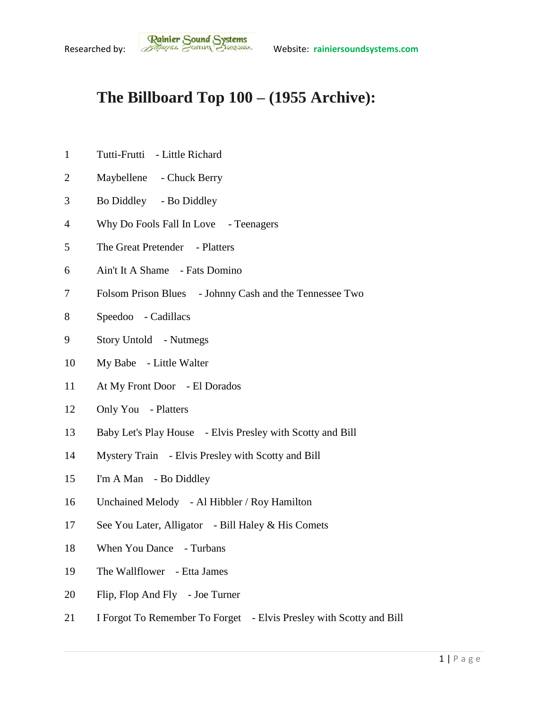## **The Billboard Top 100 – (1955 Archive):**

- Tutti-Frutti Little Richard
- Maybellene Chuck Berry
- Bo Diddley Bo Diddley
- Why Do Fools Fall In Love Teenagers
- The Great Pretender Platters
- Ain't It A Shame Fats Domino
- Folsom Prison Blues Johnny Cash and the Tennessee Two
- Speedoo Cadillacs
- Story Untold Nutmegs
- My Babe Little Walter
- At My Front Door El Dorados
- Only You Platters
- Baby Let's Play House Elvis Presley with Scotty and Bill
- Mystery Train Elvis Presley with Scotty and Bill
- I'm A Man Bo Diddley
- Unchained Melody Al Hibbler / Roy Hamilton
- See You Later, Alligator Bill Haley & His Comets
- 18 When You Dance Turbans
- The Wallflower Etta James
- Flip, Flop And Fly Joe Turner
- I Forgot To Remember To Forget Elvis Presley with Scotty and Bill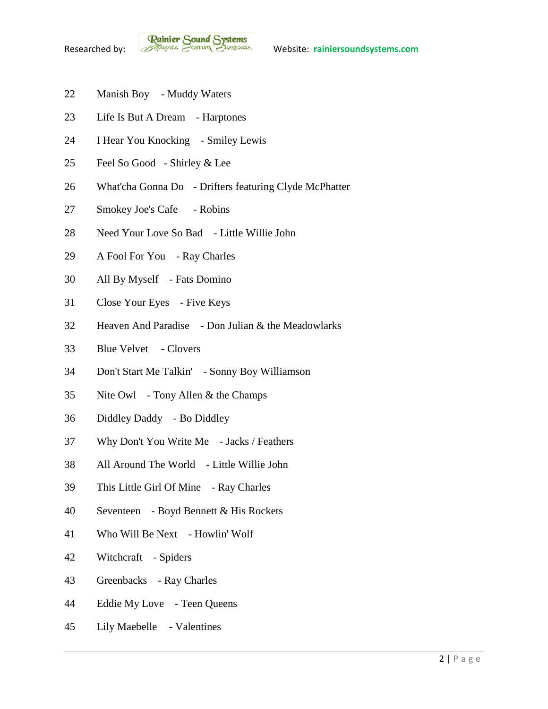- Manish Boy Muddy Waters
- Life Is But A Dream Harptones
- I Hear You Knocking Smiley Lewis
- Feel So Good Shirley & Lee
- What'cha Gonna Do Drifters featuring Clyde McPhatter
- Smokey Joe's Cafe Robins
- Need Your Love So Bad Little Willie John
- A Fool For You Ray Charles
- All By Myself Fats Domino
- Close Your Eyes Five Keys
- Heaven And Paradise Don Julian & the Meadowlarks
- Blue Velvet Clovers
- Don't Start Me Talkin' Sonny Boy Williamson
- Nite Owl Tony Allen & the Champs
- Diddley Daddy Bo Diddley
- Why Don't You Write Me Jacks / Feathers
- All Around The World Little Willie John
- This Little Girl Of Mine Ray Charles
- Seventeen Boyd Bennett & His Rockets
- Who Will Be Next Howlin' Wolf
- Witchcraft Spiders
- Greenbacks Ray Charles
- Eddie My Love Teen Queens
- Lily Maebelle Valentines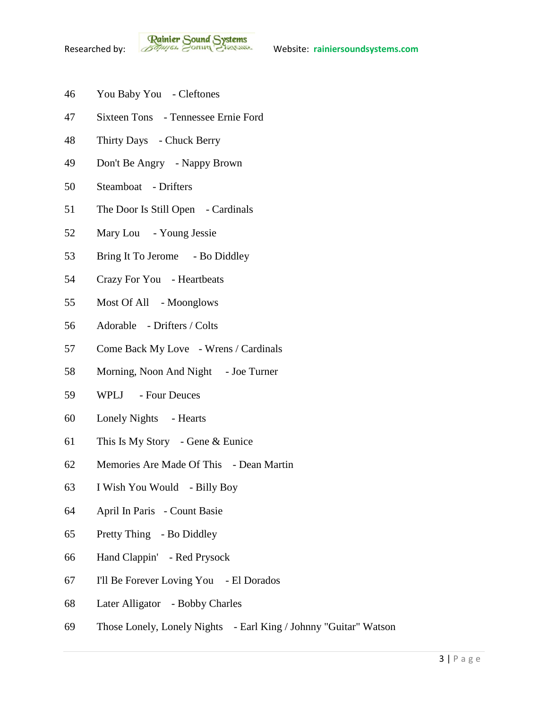- You Baby You Cleftones
- Sixteen Tons Tennessee Ernie Ford
- Thirty Days Chuck Berry
- Don't Be Angry Nappy Brown
- Steamboat Drifters
- The Door Is Still Open Cardinals
- Mary Lou Young Jessie
- 53 Bring It To Jerome Bo Diddley
- Crazy For You Heartbeats
- Most Of All Moonglows
- Adorable Drifters / Colts
- Come Back My Love Wrens / Cardinals
- 58 Morning, Noon And Night Joe Turner
- WPLJ Four Deuces
- Lonely Nights Hearts
- This Is My Story Gene & Eunice
- Memories Are Made Of This Dean Martin
- I Wish You Would Billy Boy
- April In Paris Count Basie
- Pretty Thing Bo Diddley
- Hand Clappin' Red Prysock
- I'll Be Forever Loving You El Dorados
- Later Alligator Bobby Charles
- Those Lonely, Lonely Nights Earl King / Johnny "Guitar" Watson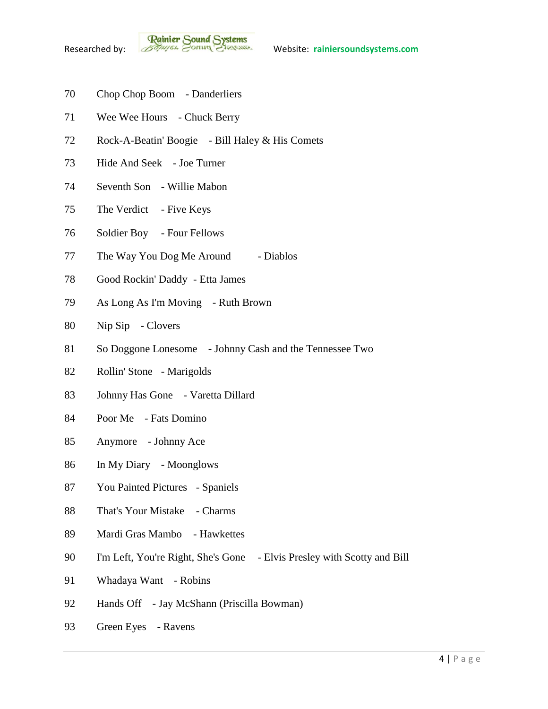- Chop Chop Boom Danderliers
- Wee Wee Hours Chuck Berry
- Rock-A-Beatin' Boogie Bill Haley & His Comets
- Hide And Seek Joe Turner
- Seventh Son Willie Mabon
- The Verdict Five Keys
- Soldier Boy Four Fellows
- 77 The Way You Dog Me Around Diablos
- Good Rockin' Daddy Etta James
- As Long As I'm Moving Ruth Brown
- Nip Sip Clovers
- So Doggone Lonesome Johnny Cash and the Tennessee Two
- Rollin' Stone Marigolds
- Johnny Has Gone Varetta Dillard
- Poor Me Fats Domino
- Anymore Johnny Ace
- In My Diary Moonglows
- You Painted Pictures Spaniels
- That's Your Mistake Charms
- Mardi Gras Mambo Hawkettes
- I'm Left, You're Right, She's Gone Elvis Presley with Scotty and Bill
- Whadaya Want Robins
- Hands Off Jay McShann (Priscilla Bowman)
- Green Eyes Ravens